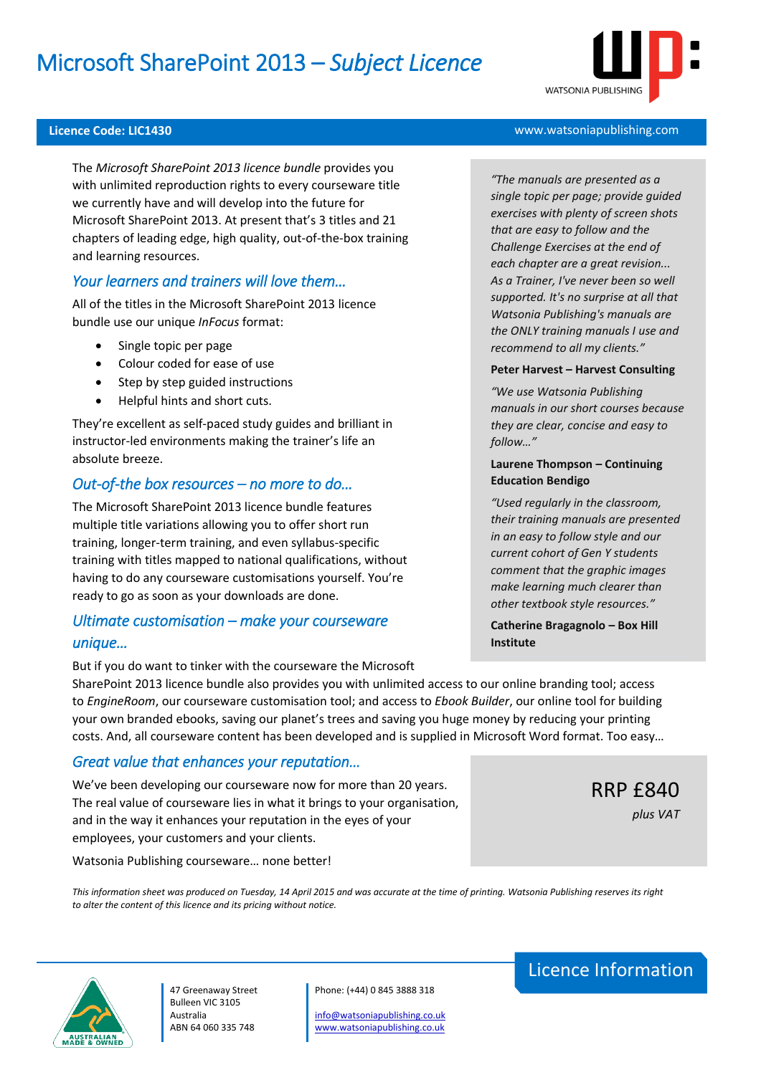# Microsoft SharePoint 2013 – *Subject Licence*



The *Microsoft SharePoint 2013 licence bundle* provides you with unlimited reproduction rights to every courseware title we currently have and will develop into the future for Microsoft SharePoint 2013. At present that's 3 titles and 21 chapters of leading edge, high quality, out-of-the-box training and learning resources.

### *Your learners and trainers will love them…*

All of the titles in the Microsoft SharePoint 2013 licence bundle use our unique *InFocus* format:

- Single topic per page
- Colour coded for ease of use
- Step by step guided instructions
- Helpful hints and short cuts.

They're excellent as self-paced study guides and brilliant in instructor-led environments making the trainer's life an absolute breeze.

#### *Out-of-the box resources – no more to do…*

The Microsoft SharePoint 2013 licence bundle features multiple title variations allowing you to offer short run training, longer-term training, and even syllabus-specific training with titles mapped to national qualifications, without having to do any courseware customisations yourself. You're ready to go as soon as your downloads are done.

### *Ultimate customisation – make your courseware unique…*

But if you do want to tinker with the courseware the Microsoft

SharePoint 2013 licence bundle also provides you with unlimited access to our online branding tool; access to *EngineRoom*, our courseware customisation tool; and access to *Ebook Builder*, our online tool for building your own branded ebooks, saving our planet's trees and saving you huge money by reducing your printing costs. And, all courseware content has been developed and is supplied in Microsoft Word format. Too easy…

### *Great value that enhances your reputation…*

We've been developing our courseware now for more than 20 years. The real value of courseware lies in what it brings to your organisation, and in the way it enhances your reputation in the eyes of your employees, your customers and your clients.

Watsonia Publishing courseware… none better!

*This information sheet was produced on Tuesday, 14 April 2015 and was accurate at the time of printing. Watsonia Publishing reserves its right to alter the content of this licence and its pricing without notice.*



47 Greenaway Street Bulleen VIC 3105 Australia ABN 64 060 335 748

#### Phone: (+44) 0 845 3888 318

[info@watsoniapublishing.co.uk](mailto:info@watsoniapublishing.co.uk) [www.watsoniapublishing.co.uk](http://www.watsoniapublishing.co.uk/)

## **Licence Code: LIC1430** www.watsoniapublishing.com

*"The manuals are presented as a single topic per page; provide guided exercises with plenty of screen shots that are easy to follow and the Challenge Exercises at the end of each chapter are a great revision... As a Trainer, I've never been so well supported. It's no surprise at all that Watsonia Publishing's manuals are the ONLY training manuals I use and recommend to all my clients."*

#### **Peter Harvest – Harvest Consulting**

*"We use Watsonia Publishing manuals in our short courses because they are clear, concise and easy to follow…"*

#### **Laurene Thompson – Continuing Education Bendigo**

*"Used regularly in the classroom, their training manuals are presented in an easy to follow style and our current cohort of Gen Y students comment that the graphic images make learning much clearer than other textbook style resources."*

**Catherine Bragagnolo – Box Hill Institute**

Licence Information

RRP £840

*plus VAT*